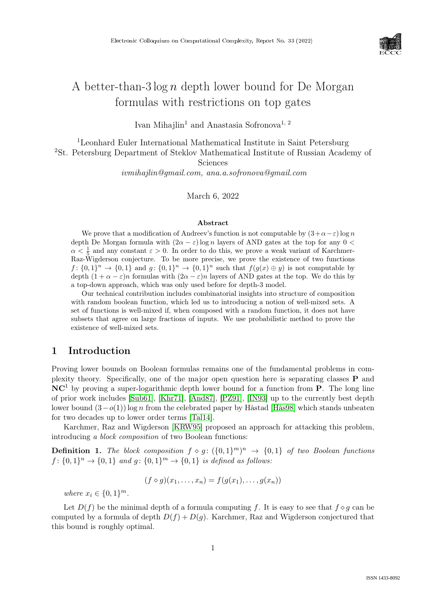

# A better-than-3  $\log n$  depth lower bound for De Morgan formulas with restrictions on top gates

Ivan Mihajlin<sup>1</sup> and Anastasia Sofronova<sup>1, 2</sup>

<sup>1</sup>Leonhard Euler International Mathematical Institute in Saint Petersburg <sup>2</sup>St. Petersburg Department of Steklov Mathematical Institute of Russian Academy of Sciences

ivmihajlin@gmail.com, ana.a.sofronova@gmail.com

March 6, 2022

#### Abstract

We prove that a modification of Andreev's function is not computable by  $(3+\alpha-\varepsilon) \log n$ depth De Morgan formula with  $(2\alpha - \varepsilon) \log n$  layers of AND gates at the top for any  $0 <$  $\alpha < \frac{1}{5}$  and any constant  $\varepsilon > 0$ . In order to do this, we prove a weak variant of Karchmer-Raz-Wigderson conjecture. To be more precise, we prove the existence of two functions  $f: \{0,1\}^n \to \{0,1\}$  and  $g: \{0,1\}^n \to \{0,1\}^n$  such that  $f(g(x) \oplus y)$  is not computable by depth  $(1 + \alpha - \varepsilon)n$  formulas with  $(2\alpha - \varepsilon)n$  layers of AND gates at the top. We do this by a top-down approach, which was only used before for depth-3 model.

Our technical contribution includes combinatorial insights into structure of composition with random boolean function, which led us to introducing a notion of well-mixed sets. A set of functions is well-mixed if, when composed with a random function, it does not have subsets that agree on large fractions of inputs. We use probabilistic method to prove the existence of well-mixed sets.

### 1 Introduction

Proving lower bounds on Boolean formulas remains one of the fundamental problems in complexity theory. Specifically, one of the major open question here is separating classes P and  $NC<sup>1</sup>$  by proving a super-logarithmic depth lower bound for a function from **P**. The long line of prior work includes [\[Sub61\]](#page--1-0), [\[Khr71\]](#page--1-1), [\[And87\]](#page--1-2), [\[PZ91\]](#page--1-3), [\[IN93\]](#page--1-4) up to the currently best depth lower bound  $(3-o(1))$  log n from the celebrated paper by Håstad [\[Hås98\]](#page--1-5) which stands unbeaten for two decades up to lower order terms [\[Tal14\]](#page--1-6).

Karchmer, Raz and Wigderson [\[KRW95\]](#page--1-7) proposed an approach for attacking this problem, introducing a block composition of two Boolean functions:

**Definition 1.** The block composition  $f \circ g: (\{0,1\}^m)^n \rightarrow \{0,1\}$  of two Boolean functions  $f: \{0,1\}^n \to \{0,1\}$  and  $g: \{0,1\}^m \to \{0,1\}$  is defined as follows:

$$
(f \diamond g)(x_1, \ldots, x_n) = f(g(x_1), \ldots, g(x_n))
$$

where  $x_i \in \{0, 1\}^m$ .

Let  $D(f)$  be the minimal depth of a formula computing f. It is easy to see that  $f \circ q$  can be computed by a formula of depth  $D(f) + D(g)$ . Karchmer, Raz and Wigderson conjectured that this bound is roughly optimal.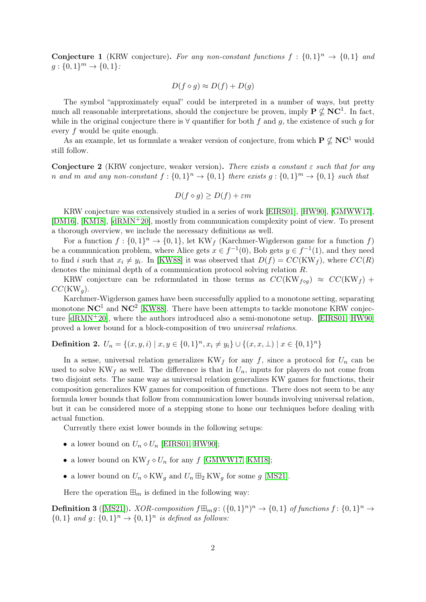**Conjecture 1** (KRW conjecture). For any non-constant functions  $f: \{0,1\}^n \rightarrow \{0,1\}$  and  $g: \{0,1\}^m \to \{0,1\}$ :

$$
D(f \diamond g) \approx D(f) + D(g)
$$

The symbol "approximately equal" could be interpreted in a number of ways, but pretty much all reasonable interpretations, should the conjecture be proven, imply  $P \nsubseteq NC^1$ . In fact, while in the original conjecture there is  $\forall$  quantifier for both f and g, the existence of such g for every f would be quite enough.

As an example, let us formulate a weaker version of conjecture, from which  $P \nsubseteq NC^1$  would still follow.

**Conjecture 2** (KRW conjecture, weaker version). There exists a constant  $\varepsilon$  such that for any n and m and any non-constant  $f: \{0,1\}^n \to \{0,1\}$  there exists  $g: \{0,1\}^m \to \{0,1\}$  such that

$$
D(f \diamond g) \ge D(f) + \varepsilon m
$$

KRW conjecture was extensively studied in a series of work [\[EIRS01\]](#page-13-0), [\[HW90\]](#page-13-1), [\[GMWW17\]](#page-13-2), [\[DM16\]](#page-13-3), [\[KM18\]](#page-14-0), [\[dRMN](#page-13-4)+20], mostly from communication complexity point of view. To present a thorough overview, we include the necessary definitions as well.

For a function  $f: \{0,1\}^n \to \{0,1\}$ , let KW<sub>f</sub> (Karchmer-Wigderson game for a function f) be a communication problem, where Alice gets  $x \in f^{-1}(0)$ , Bob gets  $y \in f^{-1}(1)$ , and they need to find i such that  $x_i \neq y_i$ . In [\[KW88\]](#page-14-1) it was observed that  $D(f) = CC(KW_f)$ , where  $CC(R)$ denotes the minimal depth of a communication protocol solving relation R.

KRW conjecture can be reformulated in those terms as  $CC(KW_{f \circ q}) \approx CC(KW_f)$  +  $CC(KW_q)$ .

Karchmer-Wigderson games have been successfully applied to a monotone setting, separating monotone  $NC^1$  and  $NC^2$  [\[KW88\]](#page-14-1). There have been attempts to tackle monotone KRW conjecture [\[dRMN](#page-13-4)+20], where the authors introduced also a semi-monotone setup. [\[EIRS01,](#page-13-0) [HW90\]](#page-13-1) proved a lower bound for a block-composition of two universal relations.

# Definition 2.  $U_n = \{(x, y, i) \mid x, y \in \{0, 1\}^n, x_i \neq y_i\} \cup \{(x, x, \perp) \mid x \in \{0, 1\}^n\}$

In a sense, universal relation generalizes  $KW_f$  for any f, since a protocol for  $U_n$  can be used to solve KW<sub>f</sub> as well. The difference is that in  $U_n$ , inputs for players do not come from two disjoint sets. The same way as universal relation generalizes KW games for functions, their composition generalizes KW games for composition of functions. There does not seem to be any formula lower bounds that follow from communication lower bounds involving universal relation, but it can be considered more of a stepping stone to hone our techniques before dealing with actual function.

Currently there exist lower bounds in the following setups:

- a lower bound on  $U_n \diamond U_n$  [\[EIRS01,](#page-13-0) [HW90\]](#page-13-1);
- a lower bound on  $KW_f \diamond U_n$  for any f [\[GMWW17,](#page-13-2) [KM18\]](#page-14-0);
- a lower bound on  $U_n \diamond KW_q$  and  $U_n \boxplus_2 KW_q$  for some g [\[MS21\]](#page-14-2).

Here the operation  $\mathbb{H}_m$  is defined in the following way:

**Definition 3** ([\[MS21\]](#page-14-2)).  $XOR$ -composition  $f \boxplus_m g$ :  $(\{0,1\}^n)^n \rightarrow \{0,1\}$  of functions  $f: \{0,1\}^n \rightarrow$  $\{0,1\}$  and  $g: \{0,1\}^n \rightarrow \{0,1\}^n$  is defined as follows: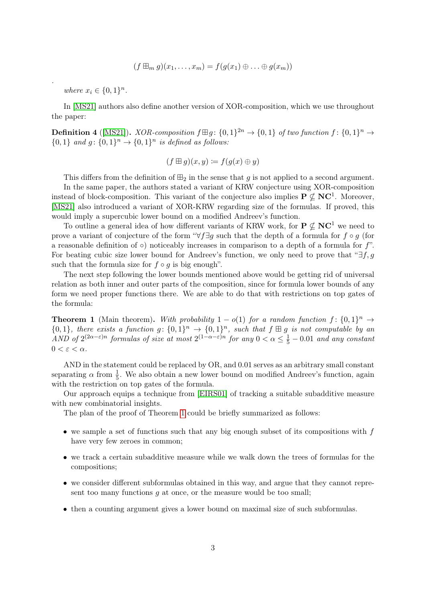$$
(f \boxplus_m g)(x_1, \ldots, x_m) = f(g(x_1) \oplus \ldots \oplus g(x_m))
$$

where  $x_i \in \{0,1\}^n$ .

.

In [\[MS21\]](#page-14-2) authors also define another version of XOR-composition, which we use throughout the paper:

**Definition 4** ([\[MS21\]](#page-14-2)). *XOR-composition*  $f \boxplus g$ :  $\{0,1\}^{2n} \rightarrow \{0,1\}$  of two function  $f: \{0,1\}^n \rightarrow \{0,1\}^n$  $\{0,1\}$  and  $g: \{0,1\}^n \rightarrow \{0,1\}^n$  is defined as follows:

$$
(f \boxplus g)(x, y) \coloneqq f(g(x) \oplus y)
$$

This differs from the definition of  $\boxplus_2$  in the sense that g is not applied to a second argument. In the same paper, the authors stated a variant of KRW conjecture using XOR-composition instead of block-composition. This variant of the conjecture also implies  $P \nsubseteq NC^1$ . Moreover, [\[MS21\]](#page-14-2) also introduced a variant of XOR-KRW regarding size of the formulas. If proved, this would imply a supercubic lower bound on a modified Andreev's function.

To outline a general idea of how different variants of KRW work, for  $P \not\subset NC^1$  we need to prove a variant of conjecture of the form " $\forall f \exists g$  such that the depth of a formula for  $f \circ g$  (for a reasonable definition of  $\circ$ ) noticeably increases in comparison to a depth of a formula for  $f$ ". For beating cubic size lower bound for Andreev's function, we only need to prove that " $\exists f, g$ " such that the formula size for  $f \circ g$  is big enough".

The next step following the lower bounds mentioned above would be getting rid of universal relation as both inner and outer parts of the composition, since for formula lower bounds of any form we need proper functions there. We are able to do that with restrictions on top gates of the formula:

<span id="page-2-0"></span>**Theorem 1** (Main theorem). With probability  $1 - o(1)$  for a random function  $f: \{0,1\}^n \rightarrow$  ${0,1}$ , there exists a function  $g: \{0,1\}^n \to \{0,1\}^n$ , such that  $f \boxplus g$  is not computable by an AND of  $2^{(2\alpha - \varepsilon)n}$  formulas of size at most  $2^{(1-\alpha-\varepsilon)n}$  for any  $0 < \alpha \leq \frac{1}{5} - 0.01$  and any constant  $0 < \varepsilon < \alpha$ .

AND in the statement could be replaced by OR, and 0.01 serves as an arbitrary small constant separating  $\alpha$  from  $\frac{1}{5}$ . We also obtain a new lower bound on modified Andreev's function, again with the restriction on top gates of the formula.

Our approach equips a technique from [\[EIRS01\]](#page-13-0) of tracking a suitable subadditive measure with new combinatorial insights.

The plan of the proof of Theorem [1](#page-2-0) could be briefly summarized as follows:

- we sample a set of functions such that any big enough subset of its compositions with  $f$ have very few zeroes in common;
- we track a certain subadditive measure while we walk down the trees of formulas for the compositions;
- we consider different subformulas obtained in this way, and argue that they cannot represent too many functions  $g$  at once, or the measure would be too small;
- then a counting argument gives a lower bound on maximal size of such subformulas.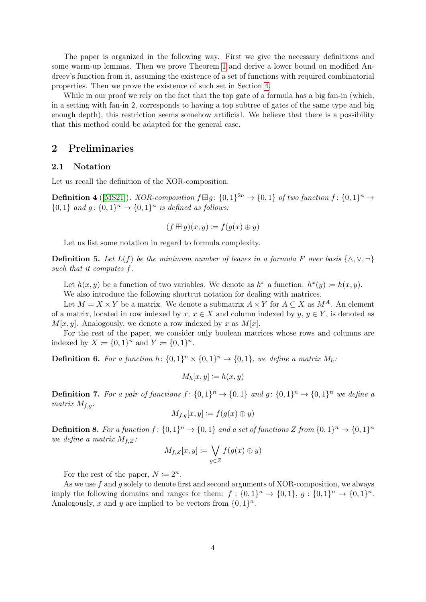The paper is organized in the following way. First we give the necessary definitions and some warm-up lemmas. Then we prove Theorem [1](#page-2-0) and derive a lower bound on modified Andreev's function from it, assuming the existence of a set of functions with required combinatorial properties. Then we prove the existence of such set in Section [4.](#page-8-0)

While in our proof we rely on the fact that the top gate of a formula has a big fan-in (which, in a setting with fan-in 2, corresponds to having a top subtree of gates of the same type and big enough depth), this restriction seems somehow artificial. We believe that there is a possibility that this method could be adapted for the general case.

# 2 Preliminaries

#### 2.1 Notation

Let us recall the definition of the XOR-composition.

**Definition 4** ([\[MS21\]](#page-14-2)). *XOR-composition*  $f \boxplus g$ :  $\{0,1\}^{2n} \rightarrow \{0,1\}$  of two function  $f: \{0,1\}^n \rightarrow \{0,1\}^n$  $\{0,1\}$  and  $g: \{0,1\}^n \rightarrow \{0,1\}^n$  is defined as follows:

$$
(f \boxplus g)(x, y) \coloneqq f(g(x) \oplus y)
$$

Let us list some notation in regard to formula complexity.

**Definition 5.** Let  $L(f)$  be the minimum number of leaves in a formula F over basis  $\{\wedge, \vee, \neg\}$ such that it computes f.

Let  $h(x, y)$  be a function of two variables. We denote as  $h^x$  a function:  $h^x(y) \coloneqq h(x, y)$ .

We also introduce the following shortcut notation for dealing with matrices.

Let  $M = X \times Y$  be a matrix. We denote a submatrix  $A \times Y$  for  $A \subseteq X$  as  $M^A$ . An element of a matrix, located in row indexed by x,  $x \in X$  and column indexed by y,  $y \in Y$ , is denoted as  $M[x, y]$ . Analogously, we denote a row indexed by x as  $M[x]$ .

For the rest of the paper, we consider only boolean matrices whose rows and columns are indexed by  $X := \{0, 1\}^n$  and  $Y := \{0, 1\}^n$ .

**Definition 6.** For a function  $h: \{0,1\}^n \times \{0,1\}^n \rightarrow \{0,1\}$ , we define a matrix  $M_h$ .

$$
M_h[x, y] \coloneqq h(x, y)
$$

**Definition 7.** For a pair of functions  $f: \{0,1\}^n \to \{0,1\}$  and  $g: \{0,1\}^n \to \{0,1\}^n$  we define a matrix  $M_{f,q}$ :

$$
M_{f,g}[x,y] \coloneqq f(g(x) \oplus y)
$$

**Definition 8.** For a function  $f: \{0,1\}^n \to \{0,1\}$  and a set of functions Z from  $\{0,1\}^n \to \{0,1\}^n$ we define a matrix  $M_{f,Z}$ :

$$
M_{f,Z}[x,y] \coloneqq \bigvee_{g \in Z} f(g(x) \oplus y)
$$

For the rest of the paper,  $N \coloneqq 2^n$ .

As we use  $f$  and  $g$  solely to denote first and second arguments of XOR-composition, we always imply the following domains and ranges for them:  $f: \{0,1\}^n \to \{0,1\}, g: \{0,1\}^n \to \{0,1\}^n$ . Analogously, x and y are implied to be vectors from  $\{0,1\}^n$ .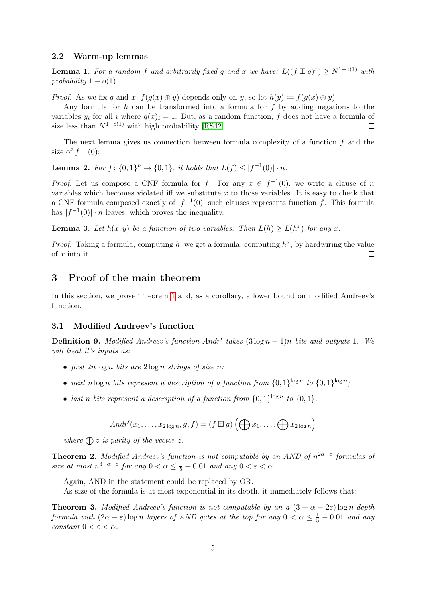#### 2.2 Warm-up lemmas

**Lemma 1.** For a random f and arbitrarily fixed g and x we have:  $L((f \boxplus g)^x) \ge N^{1-o(1)}$  with probability  $1 - o(1)$ .

*Proof.* As we fix g and x,  $f(g(x) \oplus y)$  depends only on y, so let  $h(y) \coloneqq f(g(x) \oplus y)$ .

Any formula for  $h$  can be transformed into a formula for  $f$  by adding negations to the variables  $y_i$  for all i where  $q(x)_i = 1$ . But, as a random function, f does not have a formula of size less than  $N^{1-o(1)}$  with high probability [\[RS42\]](#page-14-3).  $\Box$ 

The next lemma gives us connection between formula complexity of a function  $f$  and the size of  $f^{-1}(0)$ :

<span id="page-4-1"></span>**Lemma 2.** For  $f: \{0,1\}^n \to \{0,1\}$ , it holds that  $L(f) \leq |f^{-1}(0)| \cdot n$ .

*Proof.* Let us compose a CNF formula for f. For any  $x \in f^{-1}(0)$ , we write a clause of n variables which becomes violated iff we substitute  $x$  to those variables. It is easy to check that a CNF formula composed exactly of  $|f^{-1}(0)|$  such clauses represents function f. This formula has  $|f^{-1}(0)| \cdot n$  leaves, which proves the inequality.  $\Box$ 

**Lemma 3.** Let  $h(x, y)$  be a function of two variables. Then  $L(h) \ge L(h^x)$  for any x.

*Proof.* Taking a formula, computing h, we get a formula, computing  $h^x$ , by hardwiring the value of x into it.  $\Box$ 

# 3 Proof of the main theorem

In this section, we prove Theorem [1](#page-2-0) and, as a corollary, a lower bound on modified Andreev's function.

#### 3.1 Modified Andreev's function

**Definition 9.** Modified Andreev's function Andr' takes  $(3 \log n + 1)n$  bits and outputs 1. We will treat it's inputs as:

- first  $2n \log n$  bits are  $2 \log n$  strings of size n;
- next n log n bits represent a description of a function from  $\{0,1\}^{\log n}$  to  $\{0,1\}^{\log n}$ ;
- last n bits represent a description of a function from  $\{0,1\}^{\log n}$  to  $\{0,1\}$ .

$$
Andr'(x_1,\ldots,x_{2\log n},g,f)=(f\boxplus g)\left(\bigoplus x_1,\ldots,\bigoplus x_{2\log n}\right)
$$

where  $\bigoplus z$  is parity of the vector z.

<span id="page-4-0"></span>**Theorem 2.** Modified Andreev's function is not computable by an AND of  $n^{2\alpha-\epsilon}$  formulas of size at most  $n^{3-\alpha-\varepsilon}$  for any  $0 < \alpha \leq \frac{1}{5} - 0.01$  and any  $0 < \varepsilon < \alpha$ .

Again, AND in the statement could be replaced by OR.

As size of the formula is at most exponential in its depth, it immediately follows that:

**Theorem 3.** Modified Andreev's function is not computable by an a  $(3 + \alpha - 2\varepsilon)$  log n-depth formula with  $(2\alpha - \varepsilon)$  log n layers of AND gates at the top for any  $0 < \alpha \leq \frac{1}{5} - 0.01$  and any constant  $0 < \varepsilon < \alpha$ .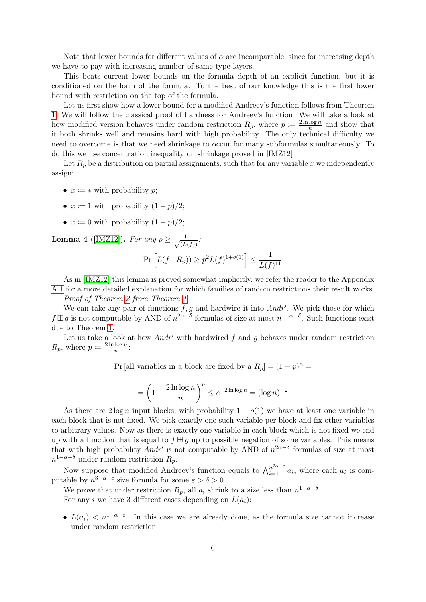Note that lower bounds for different values of  $\alpha$  are incomparable, since for increasing depth we have to pay with increasing number of same-type layers.

This beats current lower bounds on the formula depth of an explicit function, but it is conditioned on the form of the formula. To the best of our knowledge this is the first lower bound with restriction on the top of the formula.

Let us first show how a lower bound for a modified Andreev's function follows from Theorem [1.](#page-2-0) We will follow the classical proof of hardness for Andreev's function. We will take a look at how modified version behaves under random restriction  $R_p$ , where  $p := \frac{2 \ln \log n}{n}$  $\frac{\log n}{n}$  and show that it both shrinks well and remains hard with high probability. The only technical difficulty we need to overcome is that we need shrinkage to occur for many subformulas simultaneously. To do this we use concentration inequality on shrinkage proved in [\[IMZ12\]](#page-14-4).

Let  $R_p$  be a distribution on partial assignments, such that for any variable x we independently assign:

- $x \coloneqq *$  with probability p;
- $x \coloneqq 1$  with probability  $(1-p)/2$ ;
- $x \coloneqq 0$  with probability  $(1-p)/2$ ;

<span id="page-5-0"></span>**Lemma 4** ([\[IMZ12\]](#page-14-4)). For any  $p \geq \frac{1}{\sqrt{15}}$  $\frac{1}{(L(f))}$ :

$$
\Pr\left[L(f \mid R_p)\right] \ge p^2 L(f)^{1+o(1)}\right] \le \frac{1}{L(f)^{11}}
$$

As in [\[IMZ12\]](#page-14-4) this lemma is proved somewhat implicitly, we refer the reader to the Appendix [A.1](#page-14-5) for a more detailed explanation for which families of random restrictions their result works. Proof of Theorem [2](#page-4-0) from Theorem [1](#page-2-0).

We can take any pair of functions  $f, g$  and hardwire it into  $Andr'$ . We pick those for which  $f \boxplus g$  is not computable by AND of  $n^{2\alpha-\delta}$  formulas of size at most  $n^{1-\alpha-\delta}$ . Such functions exist due to Theorem [1.](#page-2-0)

Let us take a look at how Andr' with hardwired f and q behaves under random restriction  $R_p$ , where  $p \coloneqq \frac{2 \ln \log n}{n}$  $\frac{\log n}{n}$ :

Pr [all variables in a block are fixed by a  $R_p$ ] =  $(1-p)^n$  =

$$
= \left(1 - \frac{2\ln\log n}{n}\right)^n \le e^{-2\ln\log n} = (\log n)^{-2}
$$

As there are  $2 \log n$  input blocks, with probability  $1 - o(1)$  we have at least one variable in each block that is not fixed. We pick exactly one such variable per block and fix other variables to arbitrary values. Now as there is exactly one variable in each block which is not fixed we end up with a function that is equal to  $f \boxplus g$  up to possible negation of some variables. This means that with high probability  $Andr'$  is not computable by AND of  $n^{2\alpha-\delta}$  formulas of size at most  $n^{1-\alpha-\delta}$  under random restriction  $R_p$ .

Now suppose that modified Andreev's function equals to  $\bigwedge_{i=1}^{n^{2\alpha-\varepsilon}} a_i$ , where each  $a_i$  is computable by  $n^{3-\alpha-\varepsilon}$  size formula for some  $\varepsilon > \delta > 0$ .

We prove that under restriction  $R_p$ , all  $a_i$  shrink to a size less than  $n^{1-\alpha-\delta}$ . For any i we have 3 different cases depending on  $L(a_i)$ :

•  $L(a_i) < n^{1-\alpha-\epsilon}$ . In this case we are already done, as the formula size cannot increase under random restriction.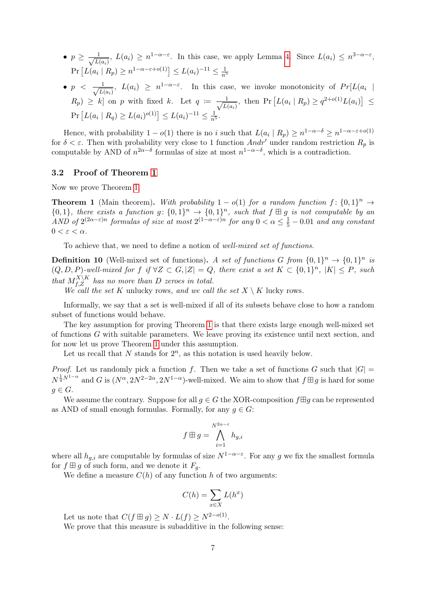- $p \geq \frac{1}{\sqrt{r}}$  $\frac{1}{L(a_i)}$ ,  $L(a_i) \geq n^{1-\alpha-\varepsilon}$ . In this case, we apply Lemma [4.](#page-5-0) Since  $L(a_i) \leq n^{3-\alpha-\varepsilon}$ ,  $Pr [L(a_i | R_p) \ge n^{1-\alpha-\varepsilon+o(1)}] \le L(a_i)^{-11} \le \frac{1}{n^5}$
- $\bullet$   $p$   $\lt$   $\frac{1}{\sqrt{15}}$  $\frac{1}{L(a_i)}$ ,  $L(a_i) \geq n^{1-\alpha-\varepsilon}$ . In this case, we invoke monotonicity of  $Pr[L(a_i \mid \overline{L(a_i)})]$  $(R_p) \geq k$  on p with fixed k. Let  $q := \frac{1}{\sqrt{L}}$  $\frac{1}{L(a_i)}$ , then Pr  $[L(a_i | R_p) \geq q^{2+o(1)} L(a_i)] \leq$  $Pr [L(a_i | R_q) \ge L(a_i)^{o(1)}] \le L(a_i)^{-11} \le \frac{1}{n^5}.$

Hence, with probability  $1 - o(1)$  there is no i such that  $L(a_i | R_p) \geq n^{1-\alpha-\delta} \geq n^{1-\alpha-\epsilon+o(1)}$ for  $\delta < \varepsilon$ . Then with probability very close to 1 function Andr' under random restriction  $R_p$  is computable by AND of  $n^{2\alpha-\delta}$  formulas of size at most  $n^{1-\alpha-\delta}$ , which is a contradiction.

#### 3.2 Proof of Theorem [1](#page-2-0)

Now we prove Theorem [1.](#page-2-0)

**Theorem 1** (Main theorem). With probability  $1 - o(1)$  for a random function  $f: \{0,1\}^n \rightarrow$  ${0,1}$ , there exists a function  $g: \{0,1\}^n \to \{0,1\}^n$ , such that  $f \boxplus g$  is not computable by an AND of  $2^{(2\alpha - \varepsilon)n}$  formulas of size at most  $2^{(1-\alpha-\varepsilon)n}$  for any  $0 < \alpha \leq \frac{1}{5} - 0.01$  and any constant  $0 < \varepsilon < \alpha$ .

To achieve that, we need to define a notion of well-mixed set of functions.

**Definition 10** (Well-mixed set of functions). A set of functions G from  $\{0,1\}^n \to \{0,1\}^n$  is  $(Q, D, P)$ -well-mixed for f if  $\forall Z \subset G, |Z| = Q$ , there exist a set  $K \subset \{0,1\}^n$ ,  $|K| \leq P$ , such that  $M_{f,Z}^{X\setminus K}$  has no more than D zeroes in total.

We call the set K unlucky rows, and we call the set  $X \setminus K$  lucky rows.

Informally, we say that a set is well-mixed if all of its subsets behave close to how a random subset of functions would behave.

The key assumption for proving Theorem [1](#page-2-0) is that there exists large enough well-mixed set of functions G with suitable parameters. We leave proving its existence until next section, and for now let us prove Theorem [1](#page-2-0) under this assumption.

Let us recall that  $N$  stands for  $2^n$ , as this notation is used heavily below.

*Proof.* Let us randomly pick a function f. Then we take a set of functions G such that  $|G|$  =  $N^{\frac{1}{4}N^{1-\alpha}}$  and G is  $(N^{\alpha}, 2N^{2-2\alpha}, 2N^{1-\alpha})$ -well-mixed. We aim to show that  $f \boxplus g$  is hard for some  $g \in G$ .

We assume the contrary. Suppose for all  $q \in G$  the XOR-composition  $f \boxplus q$  can be represented as AND of small enough formulas. Formally, for any  $q \in G$ :

$$
f \boxplus g = \bigwedge_{i=1}^{N^{2\alpha - \varepsilon}} h_{g,i}
$$

where all  $h_{g,i}$  are computable by formulas of size  $N^{1-\alpha-\varepsilon}$ . For any g we fix the smallest formula for  $f \boxplus g$  of such form, and we denote it  $F_q$ .

We define a measure  $C(h)$  of any function h of two arguments:

$$
C(h) = \sum_{x \in X} L(h^x)
$$

Let us note that  $C(f \boxplus g) \geq N \cdot L(f) \geq N^{2-o(1)}$ .

We prove that this measure is subadditive in the following sense: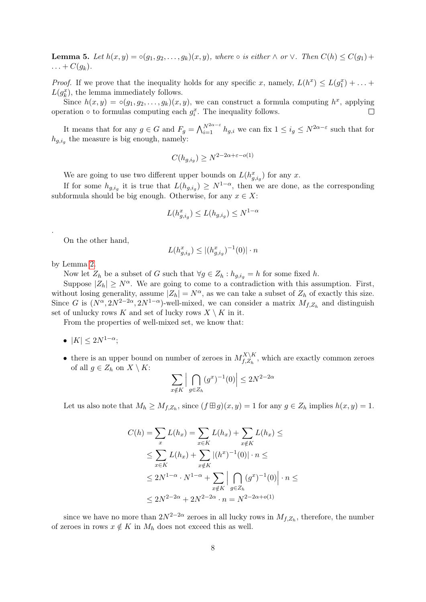**Lemma 5.** Let  $h(x, y) = \circ(g_1, g_2, \ldots, g_k)(x, y)$ , where  $\circ$  is either  $\wedge$  or  $\vee$ . Then  $C(h) \leq C(g_1) +$  $\ldots + C(g_k).$ 

*Proof.* If we prove that the inequality holds for any specific x, namely,  $L(h^x) \le L(g_1^x) + \ldots$  $L(g_k^x)$ , the lemma immediately follows.

Since  $h(x, y) = o(g_1, g_2, \ldots, g_k)(x, y)$ , we can construct a formula computing  $h^x$ , applying operation  $\circ$  to formulas computing each  $g_i^x$ . The inequality follows.  $\Box$ 

It means that for any  $g \in G$  and  $F_g = \bigwedge_{i=1}^{N^{2\alpha-\varepsilon}} h_{g,i}$  we can fix  $1 \leq i_g \leq N^{2\alpha-\varepsilon}$  such that for  $h_{g,i_g}$  the measure is big enough, namely:

$$
C(h_{g,i_g}) \ge N^{2-2\alpha + \varepsilon - o(1)}
$$

We are going to use two different upper bounds on  $L(h_{g,i_g}^x)$  for any x.

If for some  $h_{g,i_g}$  it is true that  $L(h_{g,i_g}) \geq N^{1-\alpha}$ , then we are done, as the corresponding subformula should be big enough. Otherwise, for any  $x \in X$ :

$$
L(h_{g,i_g}^x) \le L(h_{g,i_g}) \le N^{1-\alpha}
$$

On the other hand,

$$
L(h_{g,i_g}^x) \le |(h_{g,i_g}^x)^{-1}(0)| \cdot n
$$

by Lemma [2.](#page-4-1)

.

Now let  $Z_h$  be a subset of G such that  $\forall g \in Z_h : h_{g,i_g} = h$  for some fixed h.

Suppose  $|Z_h| \geq N^{\alpha}$ . We are going to come to a contradiction with this assumption. First, without losing generality, assume  $|Z_h| = N^{\alpha}$ , as we can take a subset of  $Z_h$  of exactly this size. Since G is  $(N^{\alpha}, 2N^{2-2\alpha}, 2N^{1-\alpha})$ -well-mixed, we can consider a matrix  $M_{f,Z_h}$  and distinguish set of unlucky rows K and set of lucky rows  $X \setminus K$  in it.

From the properties of well-mixed set, we know that:

- $|K| \leq 2N^{1-\alpha}$ ;
- there is an upper bound on number of zeroes in  $M_{f, z}^{X \setminus K}$  $f_{t,Z_h}^{A \setminus A}$ , which are exactly common zeroes of all  $g \in Z_h$  on  $X \setminus K$ :

$$
\sum_{x \notin K} \left| \bigcap_{g \in Z_h} (g^x)^{-1}(0) \right| \le 2N^{2-2\alpha}
$$

Let us also note that  $M_h \geq M_{f,Z_h}$ , since  $(f \boxplus g)(x,y) = 1$  for any  $g \in Z_h$  implies  $h(x,y) = 1$ .

$$
C(h) = \sum_{x} L(h_x) = \sum_{x \in K} L(h_x) + \sum_{x \notin K} L(h_x) \le
$$
  
\n
$$
\leq \sum_{x \in K} L(h_x) + \sum_{x \notin K} |(h^x)^{-1}(0)| \cdot n \le
$$
  
\n
$$
\leq 2N^{1-\alpha} \cdot N^{1-\alpha} + \sum_{x \notin K} |\bigcap_{g \in Z_h} (g^x)^{-1}(0)| \cdot n \le
$$
  
\n
$$
\leq 2N^{2-2\alpha} + 2N^{2-2\alpha} \cdot n = N^{2-2\alpha + o(1)}
$$

since we have no more than  $2N^{2-2\alpha}$  zeroes in all lucky rows in  $M_{f,Z_h}$ , therefore, the number of zeroes in rows  $x \notin K$  in  $M_h$  does not exceed this as well.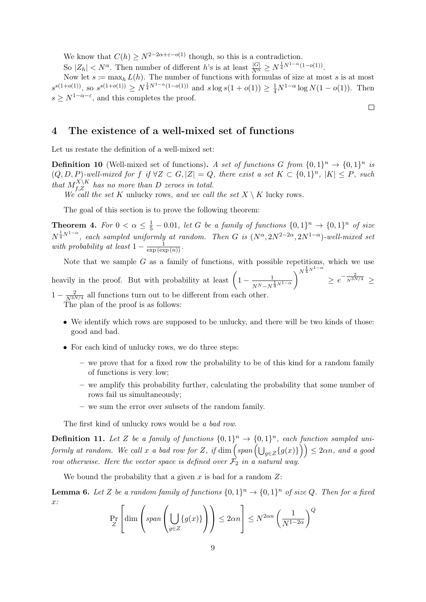We know that  $C(h) \geq N^{2-2\alpha+\varepsilon-o(1)}$  though, so this is a contradiction.

So  $|Z_h| < N^{\alpha}$ . Then number of different h's is at least  $\frac{|G|}{N^{\alpha}} \ge N^{\frac{1}{4}N^{1-\alpha}(1-o(1))}$ .

Now let  $s := \max_h L(h)$ . The number of functions with formulas of size at most s is at most  $s^{s(1+o(1))}$ , so  $s^{s(1+o(1))} \ge N^{\frac{1}{4}N^{1-\alpha}(1-o(1))}$  and  $s \log s(1+o(1)) \ge \frac{1}{4}N^{1-\alpha} \log N(1-o(1))$ . Then  $s \geq N^{1-\alpha-\varepsilon}$ , and this completes the proof.

### <span id="page-8-0"></span>4 The existence of a well-mixed set of functions

Let us restate the definition of a well-mixed set:

**Definition 10** (Well-mixed set of functions). A set of functions G from  $\{0,1\}^n \rightarrow \{0,1\}^n$  is  $(Q, D, P)$ -well-mixed for f if  $\forall Z \subset G, |Z| = Q$ , there exist a set  $K \subset \{0,1\}^n$ ,  $|K| \leq P$ , such that  $M_{f,Z}^{X\setminus K}$  has no more than D zeroes in total.

We call the set K unlucky rows, and we call the set  $X \setminus K$  lucky rows.

The goal of this section is to prove the following theorem:

<span id="page-8-2"></span>**Theorem 4.** For  $0 < \alpha \leq \frac{1}{5} - 0.01$ , let G be a family of functions  $\{0,1\}^n \to \{0,1\}^n$  of size  $N^{\frac{1}{4}N^{1-\alpha}}$ , each sampled uniformly at random. Then G is  $(N^{\alpha}, 2N^{2-2\alpha}, 2N^{1-\alpha})$ -well-mixed set with probability at least  $1 - \frac{1}{\exp(\exp(n))}$ .

Note that we sample  $G$  as a family of functions, with possible repetitions, which we use heavily in the proof. But with probability at least  $\left(1-\frac{1}{\sqrt{1-\frac{1}{\sqrt{1-\frac{1}{\sqrt{1-\frac{1}{\sqrt{1-\frac{1}{\sqrt{1-\frac{1}{\sqrt{1-\frac{1}{\sqrt{1-\frac{1}{\sqrt{1-\frac{1}{\sqrt{1-\frac{1}{\sqrt{1-\frac{1}{\sqrt{1-\frac{1}{\sqrt{1-\frac{1}{\sqrt{1-\frac{1}{\sqrt{1-\frac{1}{\sqrt{1-\frac{1}{\sqrt{1-\frac{1}{\sqrt{1-\frac{1}{\sqrt{1-\frac$  $\frac{1}{N^N - N^{\frac{1}{4}N^{1-\alpha}}}$  $\bigwedge^{N^{\frac{1}{4}N^{1-\alpha}}}$  $\geq e^{-\frac{2}{N^{3N/4}}} \geq$  $1 - \frac{2}{N^{3N/4}}$  all functions turn out to be different from each other.

The plan of the proof is as follows:

- We identify which rows are supposed to be unlucky, and there will be two kinds of those: good and bad.
- For each kind of unlucky rows, we do three steps:
	- we prove that for a fixed row the probability to be of this kind for a random family of functions is very low;
	- we amplify this probability further, calculating the probability that some number of rows fail us simultaneously;
	- we sum the error over subsets of the random family.

The first kind of unlucky rows would be a bad row.

**Definition 11.** Let Z be a family of functions  $\{0,1\}^n \rightarrow \{0,1\}^n$ , each function sampled uniformly at random. We call x a bad row for Z, if  $\dim \left( span\left( \bigcup_{g\in Z}\{g(x)\}\right) \right) \leq 2\alpha n$ , and a good row otherwise. Here the vector space is defined over  $\mathcal{F}_2$  in a natural way.

We bound the probability that a given x is bad for a random  $Z$ :

<span id="page-8-1"></span>**Lemma 6.** Let Z be a random family of functions  $\{0,1\}^n \rightarrow \{0,1\}^n$  of size Q. Then for a fixed x:

$$
\Pr_{Z} \left[ \dim \left( \text{span} \left( \bigcup_{g \in Z} \{ g(x) \} \right) \right) \leq 2\alpha n \right] \leq N^{2\alpha n} \left( \frac{1}{N^{1-2\alpha}} \right)^{Q}
$$

 $\Box$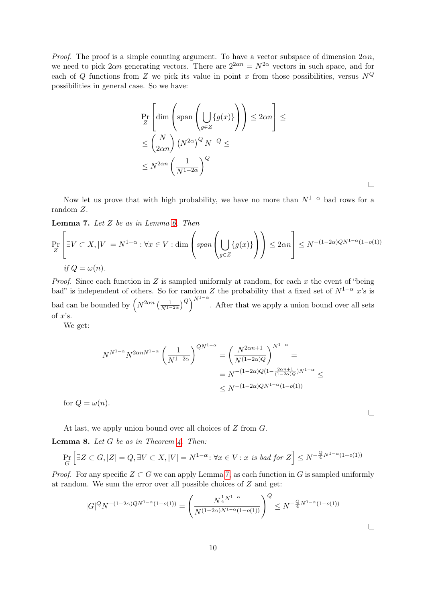*Proof.* The proof is a simple counting argument. To have a vector subspace of dimension  $2\alpha n$ , we need to pick  $2\alpha n$  generating vectors. There are  $2^{2\alpha n} = N^{2\alpha}$  vectors in such space, and for each of Q functions from Z we pick its value in point x from those possibilities, versus  $N^Q$ possibilities in general case. So we have:

$$
\Pr_Z \left[ \dim \left( \text{span} \left( \bigcup_{g \in Z} \{ g(x) \} \right) \right) \leq 2\alpha n \right] \leq
$$
\n
$$
\leq {N \choose 2\alpha n} \left( N^{2\alpha} \right)^Q N^{-Q} \leq
$$
\n
$$
\leq N^{2\alpha n} \left( \frac{1}{N^{1-2\alpha}} \right)^Q
$$

Now let us prove that with high probability, we have no more than  $N^{1-\alpha}$  bad rows for a random Z.

 $\Box$ 

 $\Box$ 

<span id="page-9-0"></span>Lemma 7. Let  $Z$  be as in Lemma [6.](#page-8-1) Then

$$
\Pr_{Z} \left[ \exists V \subset X, |V| = N^{1-\alpha} : \forall x \in V : \dim \left( \text{span} \left( \bigcup_{g \in Z} \{ g(x) \} \right) \right) \le 2\alpha n \right] \le N^{-(1-2\alpha)QN^{1-\alpha}(1-o(1))}
$$
\nif  $Q = \omega(n)$ .

*Proof.* Since each function in  $Z$  is sampled uniformly at random, for each  $x$  the event of "being" bad" is independent of others. So for random Z the probability that a fixed set of  $N^{1-\alpha}$  x's is bad can be bounded by  $\left(N^{2\alpha n}\left(\frac{1}{N^{1-2\alpha}}\right)^{Q}\right)^{N^{1-\alpha}}$ . After that we apply a union bound over all sets of  $x$ 's.

We get:

$$
N^{N^{1-\alpha}} N^{2\alpha n N^{1-\alpha}} \left(\frac{1}{N^{1-2\alpha}}\right)^{QN^{1-\alpha}} = \left(\frac{N^{2\alpha n+1}}{N^{(1-2\alpha)Q}}\right)^{N^{1-\alpha}} =
$$
  
=  $N^{-(1-2\alpha)Q(1-\frac{2\alpha n+1}{(1-2\alpha)Q})N^{1-\alpha}} \le$   
 $\le N^{-(1-2\alpha)QN^{1-\alpha}(1-o(1))}$ 

for  $Q = \omega(n)$ .

At last, we apply union bound over all choices of Z from G.

<span id="page-9-1"></span>**Lemma 8.** Let  $G$  be as in Theorem [4.](#page-8-2) Then:

$$
\Pr_G\left[\exists Z \subset G, |Z| = Q, \exists V \subset X, |V| = N^{1-\alpha} \colon \forall x \in V : x \text{ is bad for } Z\right] \le N^{-\frac{Q}{4}N^{1-\alpha}(1-o(1))}
$$

*Proof.* For any specific  $Z \subset G$  we can apply Lemma [7,](#page-9-0) as each function in G is sampled uniformly at random. We sum the error over all possible choices of Z and get:

$$
|G|^Q N^{-(1-2\alpha)QN^{1-\alpha}(1-o(1))} = \left(\frac{N^{\frac{1}{4}N^{1-\alpha}}}{N^{(1-2\alpha)N^{1-\alpha}(1-o(1))}}\right)^Q \le N^{-\frac{Q}{4}N^{1-\alpha}(1-o(1))}
$$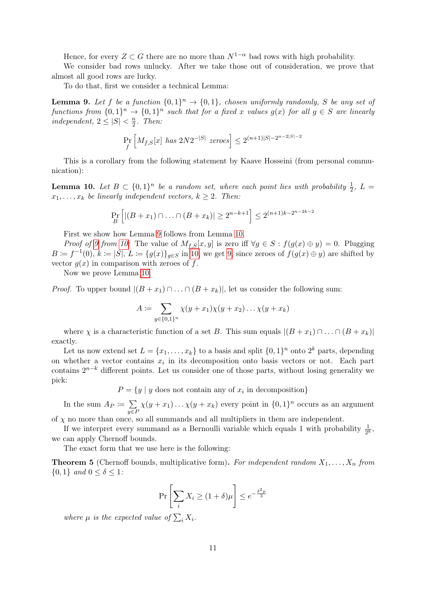Hence, for every  $Z \subset G$  there are no more than  $N^{1-\alpha}$  bad rows with high probability.

We consider bad rows unlucky. After we take those out of consideration, we prove that almost all good rows are lucky.

To do that, first we consider a technical Lemma:

<span id="page-10-0"></span>**Lemma 9.** Let f be a function  $\{0,1\}^n \rightarrow \{0,1\}$ , chosen uniformly randomly, S be any set of functions from  $\{0,1\}^n \to \{0,1\}^n$  such that for a fixed x values  $g(x)$  for all  $g \in S$  are linearly independent,  $2 \leq |S| < \frac{n}{2}$  $\frac{n}{2}$ . Then:

$$
\Pr_f \left[ M_{f,S}[x] \ has \ 2N2^{-|S|} \ zeros \right] \leq 2^{(n+1)|S|-2^{n-2|S|-2}}
$$

This is a corollary from the following statement by Kaave Hosseini (from personal communication):

<span id="page-10-1"></span>**Lemma 10.** Let  $B \subset \{0,1\}^n$  be a random set, where each point lies with probability  $\frac{1}{2}$ ,  $L =$  $x_1, \ldots, x_k$  be linearly independent vectors,  $k \geq 2$ . Then:

$$
\Pr_{B} \left[ |(B+x_1) \cap \ldots \cap (B+x_k)| \ge 2^{n-k+1} \right] \le 2^{(n+1)k - 2^{n-2k-2}}
$$

First we show how Lemma [9](#page-10-0) follows from Lemma [10.](#page-10-1)

*Proof of [9](#page-10-0) from [10:](#page-10-1)* The value of  $M_{f,S}[x, y]$  is zero iff  $\forall g \in S : f(g(x) \oplus y) = 0$ . Plugging  $B := f^{-1}(0), k := |S|, L := \{g(x)\}_{g \in S}$  in [10,](#page-10-1) we get [9,](#page-10-0) since zeroes of  $f(g(x) \oplus y)$  are shifted by vector  $g(x)$  in comparison with zeroes of f.

Now we prove Lemma [10.](#page-10-1)

*Proof.* To upper bound  $|(B + x_1) \cap ... \cap (B + x_k)|$ , let us consider the following sum:

$$
A := \sum_{y \in \{0,1\}^n} \chi(y + x_1) \chi(y + x_2) \dots \chi(y + x_k)
$$

where  $\chi$  is a characteristic function of a set B. This sum equals  $|(B + x_1) \cap ... \cap (B + x_k)|$ exactly.

Let us now extend set  $L = \{x_1, \ldots, x_k\}$  to a basis and split  $\{0, 1\}^n$  onto  $2^k$  parts, depending on whether a vector contains  $x_i$  in its decomposition onto basis vectors or not. Each part contains  $2^{n-k}$  different points. Let us consider one of those parts, without losing generality we pick:

 $P = \{y \mid y \text{ does not contain any of } x_i \text{ in decomposition}\}\$ 

In the sum  $A_P \coloneqq \sum$  $y \in F$  $\chi(y+x_1)\dots\chi(y+x_k)$  every point in  $\{0,1\}^n$  occurs as an argument of  $\chi$  no more than once, so all summands and all multipliers in them are independent.

If we interpret every summand as a Bernoulli variable which equals 1 with probability  $\frac{1}{2^k}$ , we can apply Chernoff bounds.

The exact form that we use here is the following:

**Theorem 5** (Chernoff bounds, multiplicative form). For independent random  $X_1, \ldots, X_n$  from  $\{0,1\}$  and  $0 \leq \delta \leq 1$ :

$$
\Pr\left[\sum_{i} X_i \ge (1+\delta)\mu\right] \le e^{-\frac{\delta^2\mu}{3}}
$$

where  $\mu$  is the expected value of  $\sum_i X_i$ .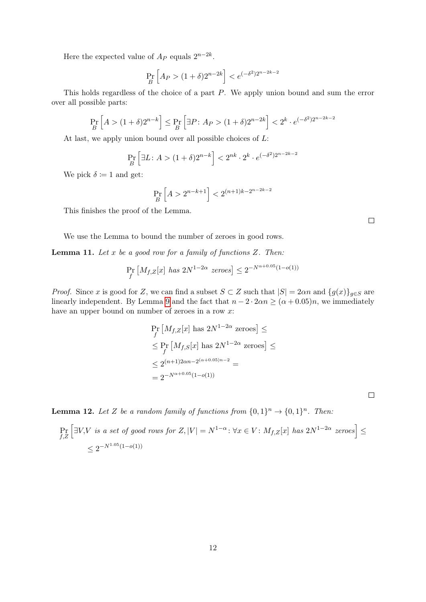Here the expected value of  $A_P$  equals  $2^{n-2k}$ .

$$
\Pr_{B} \left[ A_P > (1+\delta)2^{n-2k} \right] < e^{(-\delta^2)2^{n-2k-2}}
$$

This holds regardless of the choice of a part P. We apply union bound and sum the error over all possible parts:

$$
\Pr_{B}\left[A > (1+\delta)2^{n-k}\right] \le \Pr_{B}\left[\exists P \colon A_P > (1+\delta)2^{n-2k}\right] < 2^k \cdot e^{(-\delta^2)2^{n-2k-2}}
$$

At last, we apply union bound over all possible choices of L:

$$
\Pr_{B} \left[ \exists L \colon A > (1+\delta)2^{n-k} \right] < 2^{nk} \cdot 2^k \cdot e^{(-\delta^2)2^{n-2k-2}}
$$

We pick  $\delta \coloneqq 1$  and get:

$$
\Pr_{B}\left[A>2^{n-k+1}\right] < 2^{(n+1)k-2^{n-2k-2}}
$$

This finishes the proof of the Lemma.

We use the Lemma to bound the number of zeroes in good rows.

**Lemma 11.** Let  $x$  be a good row for a family of functions  $Z$ . Then:

$$
\Pr_f \left[ M_{f,Z}[x] \text{ has } 2N^{1-2\alpha} \text{ zeroes} \right] \le 2^{-N^{\alpha+0.05}(1-o(1))}
$$

*Proof.* Since x is good for Z, we can find a subset  $S \subset Z$  such that  $|S| = 2\alpha n$  and  $\{g(x)\}_{g \in S}$  are linearly independent. By Lemma [9](#page-10-0) and the fact that  $n - 2 \cdot 2\alpha n \geq (\alpha + 0.05)n$ , we immediately have an upper bound on number of zeroes in a row x:

$$
\Pr_f\left[M_{f,Z}[x]\right] \text{ has } 2N^{1-2\alpha} \text{ zeroes}\right] \le
$$
\n
$$
\le \Pr_f\left[M_{f,S}[x]\right] \text{ has } 2N^{1-2\alpha} \text{ zeroes}\right] \le
$$
\n
$$
\le 2^{(n+1)2\alpha n - 2^{(\alpha+0.05)n - 2}} =
$$
\n
$$
= 2^{-N^{\alpha+0.05}(1-o(1))}
$$

**Lemma 12.** Let Z be a random family of functions from  $\{0,1\}^n \rightarrow \{0,1\}^n$ . Then:

$$
\Pr_{f,Z} \left[ \exists V, V \text{ is a set of good rows for } Z, |V| = N^{1-\alpha} : \forall x \in V : M_{f,Z}[x] \text{ has } 2N^{1-2\alpha} \text{ zeroes} \right] \le
$$
\n
$$
\le 2^{-N^{1.05}(1-o(1))}
$$

 $\Box$ 

 $\Box$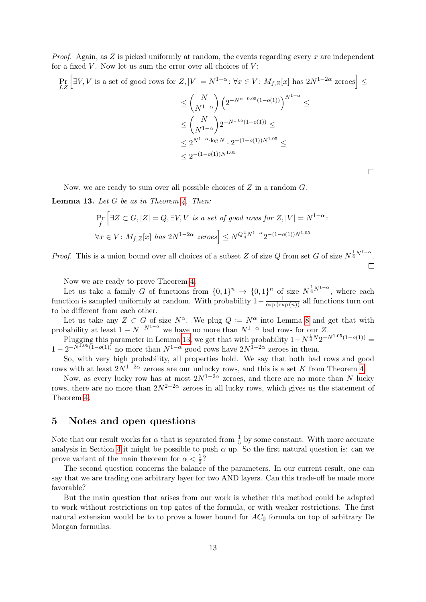*Proof.* Again, as  $Z$  is picked uniformly at random, the events regarding every  $x$  are independent for a fixed  $V$ . Now let us sum the error over all choices of  $V$ :

$$
\Pr_{f,Z} \left[ \exists V, V \text{ is a set of good rows for } Z, |V| = N^{1-\alpha} : \forall x \in V : M_{f,Z}[x] \text{ has } 2N^{1-2\alpha} \text{ zeroes} \right] \le
$$
\n
$$
\le \binom{N}{N^{1-\alpha}} \left( 2^{-N^{\alpha+0.05}(1-o(1))} \right)^{N^{1-\alpha}} \le
$$
\n
$$
\le \binom{N}{N^{1-\alpha}} 2^{-N^{1.05}(1-o(1))} \le
$$
\n
$$
\le 2^{N^{1-\alpha} \cdot \log N} \cdot 2^{-(1-o(1))N^{1.05}} \le
$$
\n
$$
\le 2^{-(1-o(1))N^{1.05}}
$$

 $\Box$ 

Now, we are ready to sum over all possible choices of  $Z$  in a random  $G$ .

<span id="page-12-0"></span>**Lemma 13.** Let  $G$  be as in Theorem [4.](#page-8-2) Then:

$$
\Pr_f \left[ \exists Z \subset G, |Z| = Q, \exists V, V \text{ is a set of good rows for } Z, |V| = N^{1-\alpha}:
$$
  

$$
\forall x \in V: M_{f,Z}[x] \text{ has } 2N^{1-2\alpha} \text{ zeroes} \right] \le N^{Q_{\frac{1}{4}}^{1}N^{1-\alpha}} 2^{-(1-o(1))N^{1.05}}
$$

*Proof.* This is a union bound over all choices of a subset Z of size Q from set G of size  $N^{\frac{1}{4}N^{1-\alpha}}$ .  $\Box$ 

Now we are ready to prove Theorem [4.](#page-8-2)

Let us take a family G of functions from  $\{0,1\}^n \to \{0,1\}^n$  of size  $N^{\frac{1}{4}N^{1-\alpha}}$ , where each function is sampled uniformly at random. With probability  $1-\frac{1}{\exp(\exp(n))}$  all functions turn out to be different from each other.

Let us take any  $Z \subset G$  of size  $N^{\alpha}$ . We plug  $Q := N^{\alpha}$  into Lemma [8](#page-9-1) and get that with probability at least  $1 - N^{-N^{1-\alpha}}$  we have no more than  $N^{1-\alpha}$  bad rows for our Z.

Plugging this parameter in Lemma [13,](#page-12-0) we get that with probability  $1 - N^{\frac{1}{4}N} 2^{-N^{1.05}(1 - o(1))}$  $1 - 2^{-\bar{N}^{\bar{1} \cdot 05} (1 - o(1))}$  no more than  $N^{1-\alpha}$  good rows have  $2N^{\bar{1}-2\alpha}$  zeroes in them.

So, with very high probability, all properties hold. We say that both bad rows and good rows with at least  $2N^{1-2\alpha}$  zeroes are our unlucky rows, and this is a set K from Theorem [4.](#page-8-2)

Now, as every lucky row has at most  $2N^{1-2\alpha}$  zeroes, and there are no more than N lucky rows, there are no more than  $2N^{2-2\alpha}$  zeroes in all lucky rows, which gives us the statement of Theorem [4.](#page-8-2)

### 5 Notes and open questions

Note that our result works for  $\alpha$  that is separated from  $\frac{1}{5}$  by some constant. With more accurate analysis in Section [4](#page-8-0) it might be possible to push  $\alpha$  up. So the first natural question is: can we prove variant of the main theorem for  $\alpha < \frac{1}{2}$ ?

The second question concerns the balance of the parameters. In our current result, one can say that we are trading one arbitrary layer for two AND layers. Can this trade-off be made more favorable?

But the main question that arises from our work is whether this method could be adapted to work without restrictions on top gates of the formula, or with weaker restrictions. The first natural extension would be to to prove a lower bound for  $AC_0$  formula on top of arbitrary De Morgan formulas.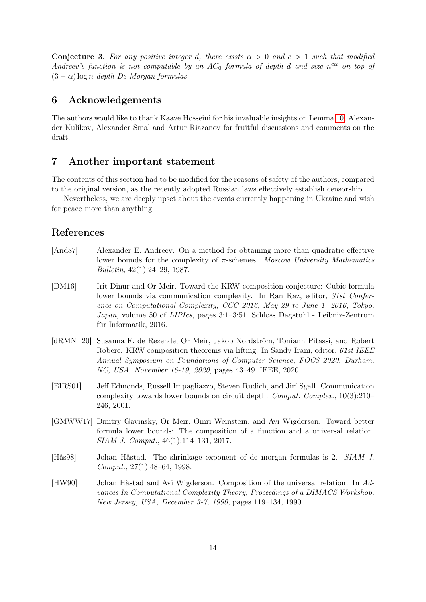**Conjecture 3.** For any positive integer d, there exists  $\alpha > 0$  and  $c > 1$  such that modified Andreev's function is not computable by an  $AC_0$  formula of depth d and size  $n^{c\alpha}$  on top of  $(3 - \alpha)$  log n-depth De Morgan formulas.

### 6 Acknowledgements

The authors would like to thank Kaave Hosseini for his invaluable insights on Lemma [10,](#page-10-1) Alexander Kulikov, Alexander Smal and Artur Riazanov for fruitful discussions and comments on the draft.

### 7 Another important statement

The contents of this section had to be modified for the reasons of safety of the authors, compared to the original version, as the recently adopted Russian laws effectively establish censorship.

Nevertheless, we are deeply upset about the events currently happening in Ukraine and wish for peace more than anything.

# References

- [And87] Alexander E. Andreev. On a method for obtaining more than quadratic effective lower bounds for the complexity of  $\pi$ -schemes. Moscow University Mathematics Bulletin, 42(1):24–29, 1987.
- <span id="page-13-3"></span>[DM16] Irit Dinur and Or Meir. Toward the KRW composition conjecture: Cubic formula lower bounds via communication complexity. In Ran Raz, editor, 31st Conference on Computational Complexity, CCC 2016, May 29 to June 1, 2016, Tokyo, Japan, volume 50 of LIPIcs, pages 3:1–3:51. Schloss Dagstuhl - Leibniz-Zentrum für Informatik, 2016.
- <span id="page-13-4"></span>[dRMN+20] Susanna F. de Rezende, Or Meir, Jakob Nordström, Toniann Pitassi, and Robert Robere. KRW composition theorems via lifting. In Sandy Irani, editor, 61st IEEE Annual Symposium on Foundations of Computer Science, FOCS 2020, Durham, NC, USA, November 16-19, 2020, pages 43–49. IEEE, 2020.
- <span id="page-13-0"></span>[EIRS01] Jeff Edmonds, Russell Impagliazzo, Steven Rudich, and Jirí Sgall. Communication complexity towards lower bounds on circuit depth. Comput. Complex., 10(3):210– 246, 2001.
- <span id="page-13-2"></span>[GMWW17] Dmitry Gavinsky, Or Meir, Omri Weinstein, and Avi Wigderson. Toward better formula lower bounds: The composition of a function and a universal relation. SIAM J. Comput., 46(1):114–131, 2017.
- [Hås98] Johan Håstad. The shrinkage exponent of de morgan formulas is 2. SIAM J. Comput., 27(1):48–64, 1998.
- <span id="page-13-1"></span>[HW90] Johan Håstad and Avi Wigderson. Composition of the universal relation. In Advances In Computational Complexity Theory, Proceedings of a DIMACS Workshop, New Jersey, USA, December 3-7, 1990, pages 119–134, 1990.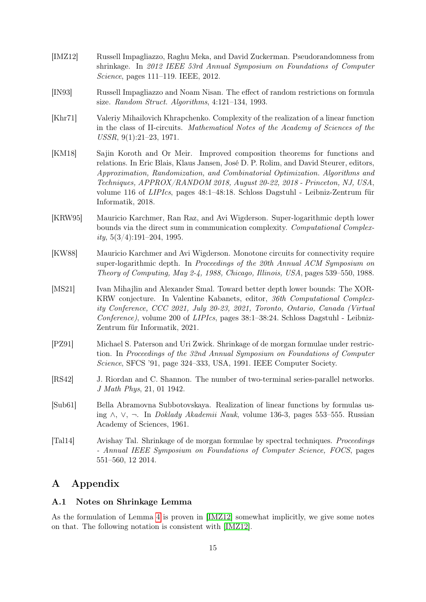- <span id="page-14-4"></span>[IMZ12] Russell Impagliazzo, Raghu Meka, and David Zuckerman. Pseudorandomness from shrinkage. In 2012 IEEE 53rd Annual Symposium on Foundations of Computer Science, pages 111–119. IEEE, 2012.
- [IN93] Russell Impagliazzo and Noam Nisan. The effect of random restrictions on formula size. Random Struct. Algorithms, 4:121–134, 1993.
- [Khr71] Valeriy Mihailovich Khrapchenko. Complexity of the realization of a linear function in the class of II-circuits. Mathematical Notes of the Academy of Sciences of the USSR, 9(1):21–23, 1971.
- <span id="page-14-0"></span>[KM18] Sajin Koroth and Or Meir. Improved composition theorems for functions and relations. In Eric Blais, Klaus Jansen, José D. P. Rolim, and David Steurer, editors, Approximation, Randomization, and Combinatorial Optimization. Algorithms and Techniques, APPROX/RANDOM 2018, August 20-22, 2018 - Princeton, NJ, USA, volume 116 of LIPIcs, pages 48:1–48:18. Schloss Dagstuhl - Leibniz-Zentrum für Informatik, 2018.
- [KRW95] Mauricio Karchmer, Ran Raz, and Avi Wigderson. Super-logarithmic depth lower bounds via the direct sum in communication complexity. Computational Complexity,  $5(3/4)$ :191–204, 1995.
- <span id="page-14-1"></span>[KW88] Mauricio Karchmer and Avi Wigderson. Monotone circuits for connectivity require super-logarithmic depth. In Proceedings of the 20th Annual ACM Symposium on Theory of Computing, May 2-4, 1988, Chicago, Illinois, USA, pages 539–550, 1988.
- <span id="page-14-2"></span>[MS21] Ivan Mihajlin and Alexander Smal. Toward better depth lower bounds: The XOR-KRW conjecture. In Valentine Kabanets, editor, 36th Computational Complexity Conference, CCC 2021, July 20-23, 2021, Toronto, Ontario, Canada (Virtual Conference), volume 200 of LIPIcs, pages 38:1–38:24. Schloss Dagstuhl - Leibniz-Zentrum für Informatik, 2021.
- [PZ91] Michael S. Paterson and Uri Zwick. Shrinkage of de morgan formulae under restriction. In Proceedings of the 32nd Annual Symposium on Foundations of Computer Science, SFCS '91, page 324–333, USA, 1991. IEEE Computer Society.
- <span id="page-14-3"></span>[RS42] J. Riordan and C. Shannon. The number of two-terminal series-parallel networks. J Math Phys, 21, 01 1942.
- [Sub61] Bella Abramovna Subbotovskaya. Realization of linear functions by formulas using  $\wedge$ ,  $\vee$ ,  $\neg$ . In *Doklady Akademii Nauk*, volume 136-3, pages 553–555. Russian Academy of Sciences, 1961.
- [Tal14] Avishay Tal. Shrinkage of de morgan formulae by spectral techniques. Proceedings - Annual IEEE Symposium on Foundations of Computer Science, FOCS, pages 551–560, 12 2014.

# A Appendix

#### <span id="page-14-5"></span>A.1 Notes on Shrinkage Lemma

As the formulation of Lemma [4](#page-5-0) is proven in [\[IMZ12\]](#page-14-4) somewhat implicitly, we give some notes on that. The following notation is consistent with [\[IMZ12\]](#page-14-4).